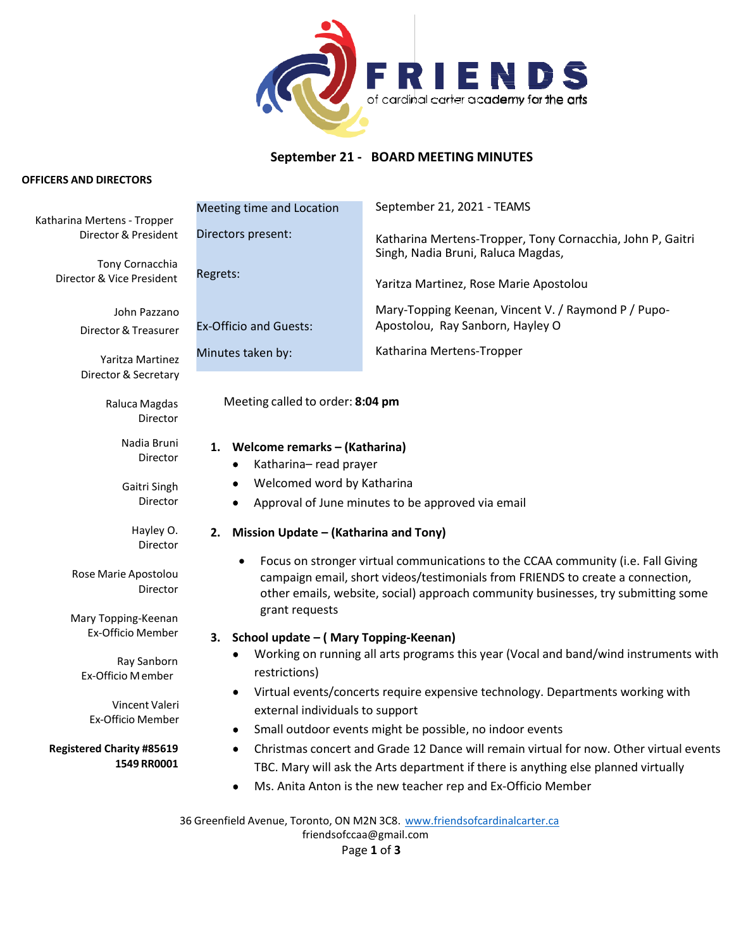

# **September 21 - BOARD MEETING MINUTES**

#### **OFFICERS AND DIRECTORS**

Katharina Mertens ‐ Tropper Director & President

> Tony Cornacchia Director & Vice President

> > John Pazzano Director& Treasurer

Yaritza Martinez Director & Secretary

> Raluca Magdas Director

> > Nadia Bruni Director

Gaitri Singh Director

> Hayley O. Director

Rose Marie Apostolou Director

Mary Topping‐Keenan Ex‐Officio Member

Ray Sanborn Ex‐Officio Member

Vincent Valeri Ex‐Officio Member

**Registered Charity #85619 1549 RR0001**

| Meeting time and Location     | September 21, 2021 - TEAMS                                                                       |
|-------------------------------|--------------------------------------------------------------------------------------------------|
| Directors present:            | Katharina Mertens-Tropper, Tony Cornacchia, John P, Gaitri<br>Singh, Nadia Bruni, Raluca Magdas, |
| Regrets:                      | Yaritza Martinez, Rose Marie Apostolou                                                           |
| <b>Ex-Officio and Guests:</b> | Mary-Topping Keenan, Vincent V. / Raymond P / Pupo-<br>Apostolou, Ray Sanborn, Hayley O          |
| Minutes taken by:             | Katharina Mertens-Tropper                                                                        |

Meeting called to order: **8:04 pm**

#### **1. Welcome remarks – (Katharina)**

- Katharina– read prayer
- Welcomed word by Katharina
- Approval of June minutes to be approved via email

# **2. Mission Update – (Katharina and Tony)**

• Focus on stronger virtual communications to the CCAA community (i.e. Fall Giving campaign email, short videos/testimonials from FRIENDS to create a connection, other emails, website, social) approach community businesses, try submitting some grant requests

# **3. School update – ( Mary Topping-Keenan)**

- Working on running all arts programs this year (Vocal and band/wind instruments with restrictions)
- Virtual events/concerts require expensive technology. Departments working with external individuals to support
- Small outdoor events might be possible, no indoor events
- Christmas concert and Grade 12 Dance will remain virtual for now. Other virtual events TBC. Mary will ask the Arts department if there is anything else planned virtually
- Ms. Anita Anton is the new teacher rep and Ex-Officio Member

36 Greenfield Avenue, Toronto, ON M2N 3C8. [www.friendsofcardinalcarter.ca](http://www.friendsofcardinalcarter.ca/) [friendsofccaa@gmail.com](mailto:friendsofccaa@gmail.com) Page **1** of **3**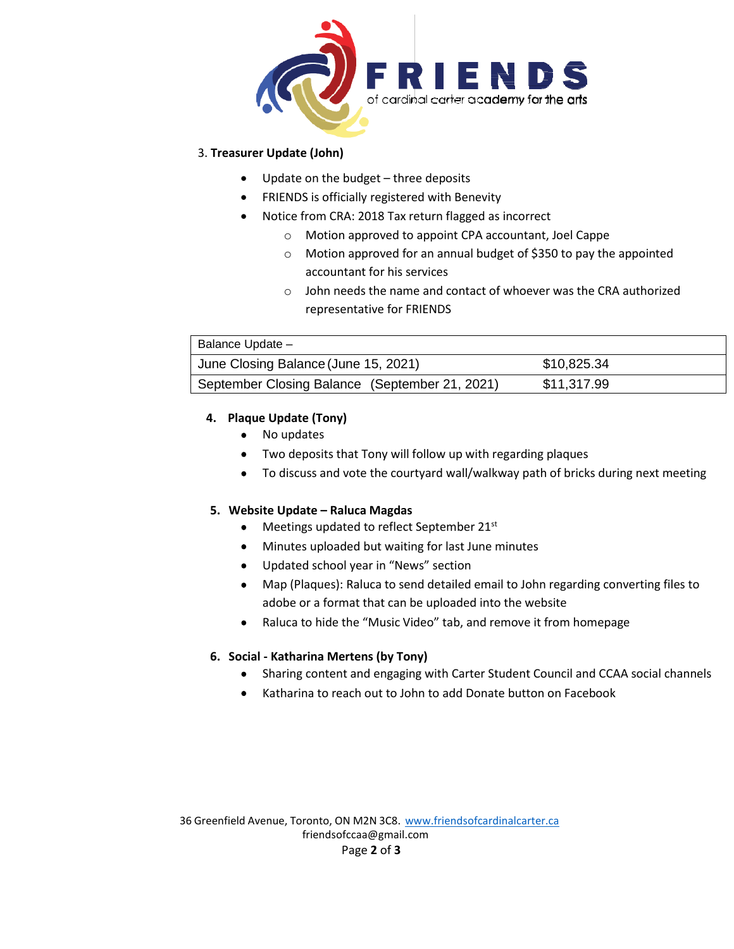

### 3. **Treasurer Update (John)**

- Update on the budget three deposits
- FRIENDS is officially registered with Benevity
- Notice from CRA: 2018 Tax return flagged as incorrect
	- o Motion approved to appoint CPA accountant, Joel Cappe
	- o Motion approved for an annual budget of \$350 to pay the appointed accountant for his services
	- o John needs the name and contact of whoever was the CRA authorized representative for FRIENDS

| Balance Update -                               |             |  |  |
|------------------------------------------------|-------------|--|--|
| June Closing Balance (June 15, 2021)           | \$10,825.34 |  |  |
| September Closing Balance (September 21, 2021) | \$11,317.99 |  |  |

# **4. Plaque Update (Tony)**

- No updates
- Two deposits that Tony will follow up with regarding plaques
- To discuss and vote the courtyard wall/walkway path of bricks during next meeting

# **5. Website Update – Raluca Magdas**

- Meetings updated to reflect September 21st
- Minutes uploaded but waiting for last June minutes
- Updated school year in "News" section
- Map (Plaques): Raluca to send detailed email to John regarding converting files to adobe or a format that can be uploaded into the website
- Raluca to hide the "Music Video" tab, and remove it from homepage

# **6. Social - Katharina Mertens (by Tony)**

- Sharing content and engaging with Carter Student Council and CCAA social channels
- Katharina to reach out to John to add Donate button on Facebook